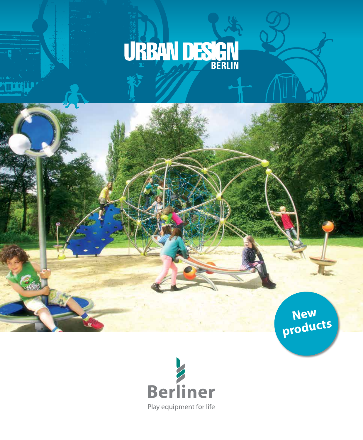# URBAN DESIGN

**New products**

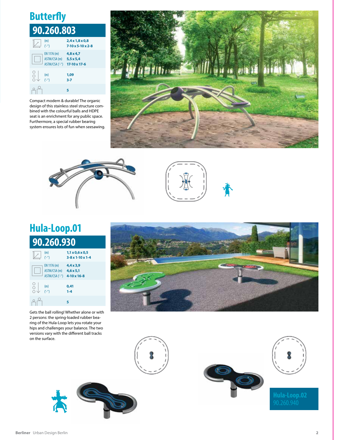# **Butterfly**

| 90.260.803    |                                                           |                                                              |  |  |
|---------------|-----------------------------------------------------------|--------------------------------------------------------------|--|--|
|               | (m)                                                       | $2,4 \times 1,8 \times 0,8$<br>$7-10 \times 5-10 \times 2-8$ |  |  |
|               | EN 1176 (m)<br>$ASTM/CSA(m)$ 5,5 x 5,4<br>ASTM/CSA ('-'') | $4.8 \times 4.7$<br>17-10 x 17-6                             |  |  |
| $\frac{1}{2}$ | (m)<br>('-'')                                             | 1,09<br>$3 - 7$                                              |  |  |
|               |                                                           | 5                                                            |  |  |

Compact modern & durable! The organic design of this stainless steel structure combined with the colourful balls and HDPE seat is an enrichment for any public space. Furthermore, a special rubber bearing system ensures lots of fun when seesawing.







# **Hula-Loop.01**

#### **90.260.930** (m) **1,1 x 0,6 x 0,5**<br>("i") **3-8 x 1-10 x 1-4**  $\sqrt{2}$ ('-'') **3-8 x 1-10 x 1-4** EN 1176 (m) **4,4 x 3,9** ASTM/CSA (m) **4,6 x 5,1** ASTM/CSA ('-'') **4-10 x 16-8**  $\begin{matrix} 0 \\ 0 \\ 0 \end{matrix}$ (m) **0,41**<br> $('·")$  **1-4** ('-'') **1-4**  $\frac{1}{\sqrt{2}}$ **5**

Gets the ball rolling! Whether alone or with 2 persons: the spring-loaded rubber bearing of the Hula-Loop lets you rotate your hips and challenges your balance. The two versions vary with the different ball tracks on the surface.







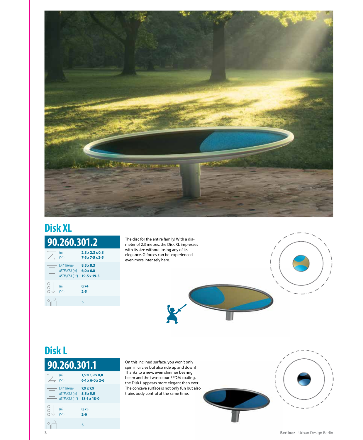

### **90.260.301.2 Disk XL**

| U.LUV.JV<br>- |                                               |                                              |
|---------------|-----------------------------------------------|----------------------------------------------|
|               | (m)<br>$(1 - \frac{1}{2})$                    | 2,3x2,3x0,8<br>$7-5 \times 7-5 \times 2-5$   |
|               | EN 1176 (m)<br>ASTM/CSA (m)<br>ASTM/CSA ('-") | $8.3 \times 8.3$<br>6.0 x 6.0<br>19-5 x 19-5 |
| C             | (m)<br>$(′-'')$                               | 0,74<br>$2 - 5$                              |
|               |                                               | 5                                            |

The disc for the entire family! With a diameter of 2.3 metres, the Disk XL impresses with its size without losing any of its elegance. G-forces can be experienced even more intensely here.



## **Disk L**



On this inclined surface, you won't only spin in circles but also ride up and down! Thanks to a new, even slimmer bearing beam and the two-colour EPDM coating, the Disk L appears more elegant than ever. The concave surface is not only fun but also trains body control at the same time.

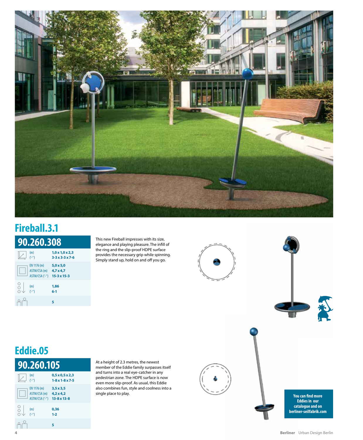

# **Fireball.3.1**

| 90.260.308 |                                                           |                                                                  |  |  |
|------------|-----------------------------------------------------------|------------------------------------------------------------------|--|--|
|            | (m)<br>$\mu_{\mu}$                                        | $1,0 \times 1,0 \times 2,3$<br>$3 - 3 \times 3 - 3 \times 7 - 6$ |  |  |
|            | EN 1176 (m)<br>ASTM/CSA (m)<br>ASTM/CSA ('-") 15-3 x 15-3 | $5,0 \times 5,0$<br>$4,7 \times 4,7$                             |  |  |
|            | (m)<br>$(1 - \frac{1}{2})$                                | 1,86<br>$6-1$                                                    |  |  |
|            |                                                           | 5                                                                |  |  |

This new Fireball impresses with its size, elegance and playing pleasure. The infill of the ring and the slip-proof HDPE surface provides the necessary grip while spinning. Simply stand up, hold on and off you go.



# **Eddie.05**



At a height of 2.3 metres, the newest member of the Eddie family surpasses itself and turns into a real eye-catcher in any pedestrian zone. The HDPE surface is now even more slip-proof. As usual, this Eddie also combines fun, style and coolness into a single place to play.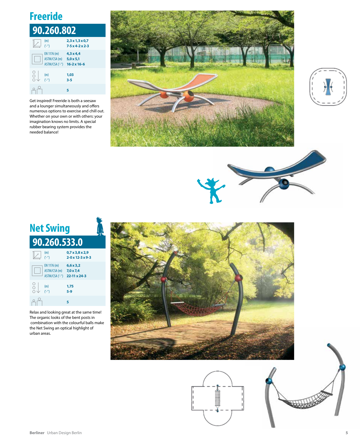# **Freeride**

| 90.260.802                                     |                                                                |  |
|------------------------------------------------|----------------------------------------------------------------|--|
| (m)<br>$(\frac{1}{2}n)$                        | $2,3 \times 1,3 \times 0,7$<br>$7-5 \times 4-2 \times 2-3$     |  |
| EN 1176 (m)<br>ASTM/CSA (m)<br>ASTM/CSA ('-'') | $4.3 \times 4.4$<br>$5,0 \times 5,1$<br>$16 - 2 \times 16 - 6$ |  |
|                                                | 1,03<br>$3 - 5$                                                |  |
|                                                | 5                                                              |  |

Get inspired! Freeride is both a seesaw and a lounger simultaneously and offers numerous options to exercise and chill out. Whether on your own or with others: your imagination knows no limits. A special rubber bearing system provides the needed balance!









Relax and looking great at the same time! The organic looks of the bent posts in combination with the colourful balls make the Net Swing an optical highlight of urban areas.